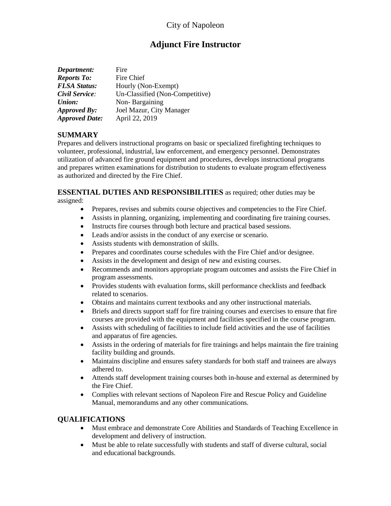## City of Napoleon

# **Adjunct Fire Instructor**

| Department:           | Fire                            |
|-----------------------|---------------------------------|
| <b>Reports To:</b>    | Fire Chief                      |
| <b>FLSA Status:</b>   | Hourly (Non-Exempt)             |
| Civil Service:        | Un-Classified (Non-Competitive) |
| Union:                | Non-Bargaining                  |
| Approved By:          | Joel Mazur, City Manager        |
| <b>Approved Date:</b> | April 22, 2019                  |

#### **SUMMARY**

Prepares and delivers instructional programs on basic or specialized firefighting techniques to volunteer, professional, industrial, law enforcement, and emergency personnel. Demonstrates utilization of advanced fire ground equipment and procedures, develops instructional programs and prepares written examinations for distribution to students to evaluate program effectiveness as authorized and directed by the Fire Chief.

#### **ESSENTIAL DUTIES AND RESPONSIBILITIES** as required; other duties may be assigned:

- Prepares, revises and submits course objectives and competencies to the Fire Chief.
- Assists in planning, organizing, implementing and coordinating fire training courses.
- Instructs fire courses through both lecture and practical based sessions.
- Leads and/or assists in the conduct of any exercise or scenario.
- Assists students with demonstration of skills.
- Prepares and coordinates course schedules with the Fire Chief and/or designee.
- Assists in the development and design of new and existing courses.
- Recommends and monitors appropriate program outcomes and assists the Fire Chief in program assessments.
- Provides students with evaluation forms, skill performance checklists and feedback related to scenarios.
- Obtains and maintains current textbooks and any other instructional materials.
- Briefs and directs support staff for fire training courses and exercises to ensure that fire courses are provided with the equipment and facilities specified in the course program.
- Assists with scheduling of facilities to include field activities and the use of facilities and apparatus of fire agencies.
- Assists in the ordering of materials for fire trainings and helps maintain the fire training facility building and grounds.
- Maintains discipline and ensures safety standards for both staff and trainees are always adhered to.
- Attends staff development training courses both in-house and external as determined by the Fire Chief.
- Complies with relevant sections of Napoleon Fire and Rescue Policy and Guideline Manual, memorandums and any other communications.

#### **QUALIFICATIONS**

- Must embrace and demonstrate Core Abilities and Standards of Teaching Excellence in development and delivery of instruction.
- Must be able to relate successfully with students and staff of diverse cultural, social and educational backgrounds.